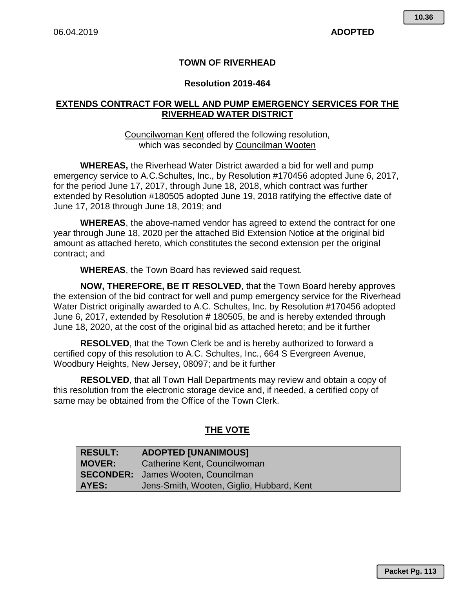# **TOWN OF RIVERHEAD**

## **Resolution 2019-464**

# **EXTENDS CONTRACT FOR WELL AND PUMP EMERGENCY SERVICES FOR THE RIVERHEAD WATER DISTRICT**

### Councilwoman Kent offered the following resolution, which was seconded by Councilman Wooten

**WHEREAS,** the Riverhead Water District awarded a bid for well and pump emergency service to A.C.Schultes, Inc., by Resolution #170456 adopted June 6, 2017, for the period June 17, 2017, through June 18, 2018, which contract was further extended by Resolution #180505 adopted June 19, 2018 ratifying the effective date of June 17, 2018 through June 18, 2019; and

**WHEREAS**, the above-named vendor has agreed to extend the contract for one year through June 18, 2020 per the attached Bid Extension Notice at the original bid amount as attached hereto, which constitutes the second extension per the original contract; and

**WHEREAS**, the Town Board has reviewed said request.

**NOW, THEREFORE, BE IT RESOLVED**, that the Town Board hereby approves the extension of the bid contract for well and pump emergency service for the Riverhead Water District originally awarded to A.C. Schultes, Inc. by Resolution #170456 adopted June 6, 2017, extended by Resolution # 180505, be and is hereby extended through June 18, 2020, at the cost of the original bid as attached hereto; and be it further

**RESOLVED**, that the Town Clerk be and is hereby authorized to forward a certified copy of this resolution to A.C. Schultes, Inc., 664 S Evergreen Avenue, Woodbury Heights, New Jersey, 08097; and be it further

**RESOLVED**, that all Town Hall Departments may review and obtain a copy of this resolution from the electronic storage device and, if needed, a certified copy of same may be obtained from the Office of the Town Clerk.

# **THE VOTE**

| <b>RESULT:</b> | <b>ADOPTED [UNANIMOUS]</b>                |  |
|----------------|-------------------------------------------|--|
| <b>MOVER:</b>  | Catherine Kent, Councilwoman              |  |
|                | <b>SECONDER:</b> James Wooten, Councilman |  |
| AYES:          | Jens-Smith, Wooten, Giglio, Hubbard, Kent |  |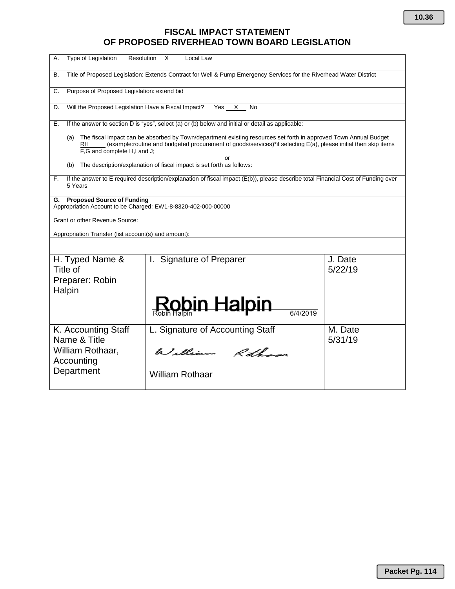# **FISCAL IMPACT STATEMENT OF PROPOSED RIVERHEAD TOWN BOARD LEGISLATION**

| Type of Legislation<br>А.                                                                                                                                                                | Resolution X<br>Local Law                                                                                                                                                                                                                |                    |
|------------------------------------------------------------------------------------------------------------------------------------------------------------------------------------------|------------------------------------------------------------------------------------------------------------------------------------------------------------------------------------------------------------------------------------------|--------------------|
| В.                                                                                                                                                                                       | Title of Proposed Legislation: Extends Contract for Well & Pump Emergency Services for the Riverhead Water District                                                                                                                      |                    |
| Purpose of Proposed Legislation: extend bid<br>C.                                                                                                                                        |                                                                                                                                                                                                                                          |                    |
| Will the Proposed Legislation Have a Fiscal Impact?<br>D.                                                                                                                                | Yes<br>No<br>х                                                                                                                                                                                                                           |                    |
| Е.                                                                                                                                                                                       | If the answer to section D is "yes", select (a) or (b) below and initial or detail as applicable:                                                                                                                                        |                    |
| (a)<br>RH<br>F,G and complete H,I and J;                                                                                                                                                 | The fiscal impact can be absorbed by Town/department existing resources set forth in approved Town Annual Budget<br>(example:routine and budgeted procurement of goods/services)*if selecting E(a), please initial then skip items<br>or |                    |
| (b)                                                                                                                                                                                      | The description/explanation of fiscal impact is set forth as follows:                                                                                                                                                                    |                    |
| If the answer to E required description/explanation of fiscal impact (E(b)), please describe total Financial Cost of Funding over<br>F.<br>5 Years                                       |                                                                                                                                                                                                                                          |                    |
| G. Proposed Source of Funding<br>Appropriation Account to be Charged: EW1-8-8320-402-000-00000<br>Grant or other Revenue Source:<br>Appropriation Transfer (list account(s) and amount): |                                                                                                                                                                                                                                          |                    |
| H. Typed Name &<br>Title of<br>Preparer: Robin<br>Halpin                                                                                                                                 | I. Signature of Preparer<br>Robin Halpin<br>6/4/2019                                                                                                                                                                                     | J. Date<br>5/22/19 |
| K. Accounting Staff<br>Name & Title<br>William Rothaar,<br>Accounting                                                                                                                    | L. Signature of Accounting Staff<br>William Rothans                                                                                                                                                                                      | M. Date<br>5/31/19 |
| Department                                                                                                                                                                               | <b>William Rothaar</b>                                                                                                                                                                                                                   |                    |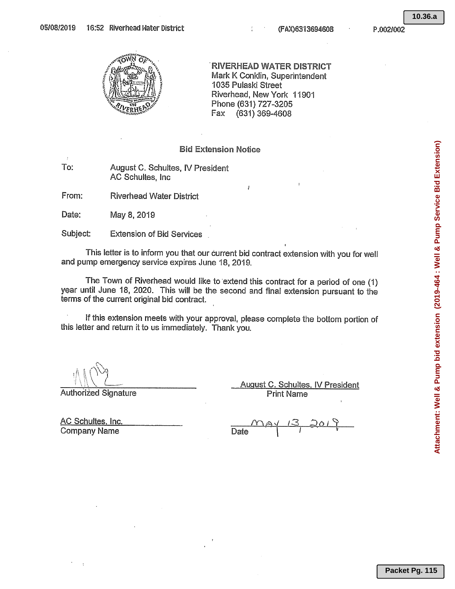**10.36.a**



**RIVERHEAD WATER DISTRICT** Mark K Conklin, Superintendent 1035 Pulaski Street Riverhead, New York 11901 Phone (631) 727-3205 (631) 369-4608 Fax

### **Bid Extension Notice**

To: August C. Schultes, IV President AC Schultes, Inc.

From: **Riverhead Water District** 

Date: May 8, 2019

Subject: **Extension of Bid Services** 

This letter is to inform you that our current bid contract extension with you for well and pump emergency service expires June 18, 2019.

The Town of Riverhead would like to extend this contract for a period of one (1) year until June 18, 2020. This will be the second and final extension pursuant to the terms of the current original bid contract.

If this extension meets with your approval, please complete the bottom portion of this letter and return it to us immediately. Thank you.

**Authorized Signature** 

August C. Schultes, IV President **Print Name** 

AC Schultes, Inc. **Company Name** 

Date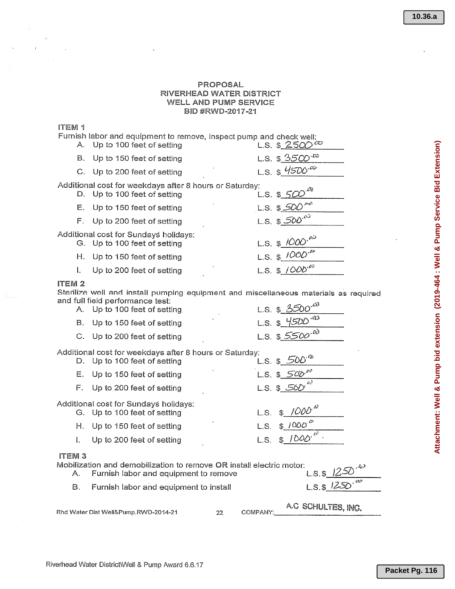#### PROPOSAL RIVERHEAD WATER DISTRICT WELL AND PUMP SERVICE BID #RWD-2017-21

#### ITEM<sub>1</sub>

|                   | А.          | Furnish labor and equipment to remove, inspect pump and check well:<br>Up to 100 feet of setting                                                         |            | L.S. \$ 2500 $\infty$        |
|-------------------|-------------|----------------------------------------------------------------------------------------------------------------------------------------------------------|------------|------------------------------|
|                   | В.          | Up to 150 feet of setting                                                                                                                                |            | L.S. $$3500^{20}$            |
|                   | C.          | Up to 200 feet of setting                                                                                                                                |            | L.S. $$$ 4500 <sup>-20</sup> |
|                   | D.          | Additional cost for weekdays after 8 hours or Saturday:<br>Up to 100 feet of setting                                                                     |            | L.S. \$_500                  |
|                   | Е.          | Up to 150 feet of setting                                                                                                                                | $L.S.$ \$. |                              |
|                   | $F_{\perp}$ | Up to 200 feet of setting                                                                                                                                |            | L.S. $$500^{\circ}$          |
|                   |             | Additional cost for Sundays holidays:<br>G. Up to 100 feet of setting                                                                                    |            | L.S. $$1000 \cdot ^{00}$     |
|                   | Н.          | Up to 150 feet of setting                                                                                                                                |            | L.S. \$ $1000^{30}$          |
|                   | L           | Up to 200 feet of setting                                                                                                                                |            | L.S. $$1000^{100}$           |
| ITEM <sub>2</sub> |             | Sterilize well and install pumping equipment and miscellaneous materials as required<br>and full field performance test:<br>A. Up to 100 feet of setting |            | L.S. \$ $3500^{-20}$         |
|                   | В.          | Up to 150 feet of setting                                                                                                                                |            | L.S. $$4500^{00}$            |
|                   |             | C. Up to 200 feet of setting                                                                                                                             |            | L.S. $$5500^{60}$            |
|                   |             | Additional cost for weekdays after 8 hours or Saturday:<br>D. Up to 100 feet of setting                                                                  |            | L.S. $$500^{6}$              |
|                   | Е.          | Up to 150 feet of setting                                                                                                                                |            | L.S. $$500^{60}$             |
|                   | F.          | Up to 200 feet of setting                                                                                                                                |            | L.S. $$56D$                  |
|                   |             | Additional cost for Sundays holidays:<br>G. Up to 100 feet of setting                                                                                    | L.S.       | $1000^{13}$                  |
|                   | Н.          | Up to 150 feet of setting                                                                                                                                | L.S.       | 1000<br>\$.                  |
|                   | L           | Up to 200 feet of setting                                                                                                                                | L.S.       | \$1000                       |

## **ITEM3**

| Mobilization and demobilization to remove OR install electric motor:                                                                                                                                                                                          |                              |
|---------------------------------------------------------------------------------------------------------------------------------------------------------------------------------------------------------------------------------------------------------------|------------------------------|
| Furnish labor and equipment to remove                                                                                                                                                                                                                         | $L.S.$ \$1250 <sup>-42</sup> |
| Furnish labor and equipment to install                                                                                                                                                                                                                        | $LSS1250$ <sup>co</sup>      |
| $m_1$ , $m_2$ , $m_3$ , $m_4$ , $m_5$ , $m_6$ , $m_7$ , $m_8$ , $m_9$ , $m_1$ , $m_2$ , $m_3$ , $m_4$ , $m_5$ , $m_6$ , $m_7$ , $m_8$ , $m_9$ , $m_1$ , $m_1$ , $m_2$ , $m_3$ , $m_5$ , $m_7$ , $m_8$ , $m_9$ , $m_1$ , $m_1$ , $m_2$ , $m_3$ , $m_1$ , $m_2$ | A.C SCHULTES, INC.           |

Rhd Water Dist Well&Pump.RWD-2014-21

22 COMPANY: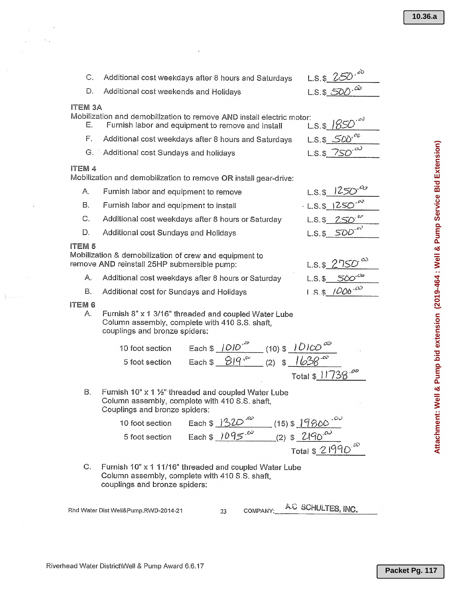| C.                   | Additional cost weekdays after 8 hours and Saturdays                                                                                    |                                                                                                                                                           | L.S. \$ $250^{60}$     |
|----------------------|-----------------------------------------------------------------------------------------------------------------------------------------|-----------------------------------------------------------------------------------------------------------------------------------------------------------|------------------------|
| D.                   | Additional cost weekends and Holidays                                                                                                   |                                                                                                                                                           | $L.S.S.\text{SDO}^{3}$ |
| <b>ITEM 3A</b><br>Е. | Mobilization and demobilization to remove AND install electric motor:<br>Furnish labor and equipment to remove and install              |                                                                                                                                                           | $L.S.$ \$ $1850$       |
| Ε.                   | Additional cost weekdays after 8 hours and Saturdays                                                                                    |                                                                                                                                                           | $L.S.$ \$ 500°         |
|                      | G. Additional cost Sundays and holidays                                                                                                 |                                                                                                                                                           | L.S. \$750             |
| <b>ITEM 4</b>        | Mobilization and demobilization to remove OR install gear-drive:                                                                        |                                                                                                                                                           |                        |
| Α.                   | Furnish labor and equipment to remove                                                                                                   |                                                                                                                                                           | $L.S.$ \$              |
| В.                   | Furnish labor and equipment to install                                                                                                  |                                                                                                                                                           | 125C<br>$-L.S.$ \$     |
| C.                   | Additional cost weekdays after 8 hours or Saturday                                                                                      |                                                                                                                                                           | 250<br>$L.S.$ \$       |
| D.                   | Additional cost Sundays and Holidays                                                                                                    |                                                                                                                                                           | $L.S. $500^{60}$       |
| ITEM <sub>5</sub>    | Mobilization & demobilization of crew and equipment to<br>remove AND reinstall 25HP submersible pump:                                   |                                                                                                                                                           | $L.S.$ \$ 275          |
| Α.                   | Additional cost weekdays after 8 hours or Saturday                                                                                      |                                                                                                                                                           | $L.S.$ \$              |
| В.                   | Additional cost for Sundays and Holidays                                                                                                |                                                                                                                                                           | $L.S.$ \$ 1000.00      |
| <b>ITEM 6</b><br>Α.  | Furnish 8" x 1 3/16" threaded and coupled Water Lube<br>Column assembly, complete with 410 S.S. shaft,<br>couplings and bronze spiders: |                                                                                                                                                           |                        |
|                      | 10 foot section                                                                                                                         |                                                                                                                                                           |                        |
|                      | 5 foot section                                                                                                                          | Each \$ $1010^{-10}$ (10) \$ $10100^{-10}$<br>Each \$ $819^{-10}$ (2) \$ $1638^{-10}$                                                                     |                        |
|                      |                                                                                                                                         |                                                                                                                                                           | Total \$11738.00       |
| В.                   | Furnish 10" x 1 1/2" threaded and coupled Water Lube<br>Column assembly, complete with 410 S.S. shaft,<br>Couplings and bronze spiders: |                                                                                                                                                           |                        |
|                      | 10 foot section                                                                                                                         |                                                                                                                                                           |                        |
|                      | 5 foot section                                                                                                                          |                                                                                                                                                           |                        |
|                      |                                                                                                                                         | Each \$ $\frac{1320^{100}}{1095^{100}}$ (15) \$ $\frac{19800^{100}}{200^{100}}$<br>Each \$ $\frac{1095^{100}}{200}$ (2) \$ $\frac{2190^{100}}{200^{100}}$ |                        |
|                      |                                                                                                                                         |                                                                                                                                                           |                        |

Furnish 10" x 1 11/16" threaded and coupled Water Lube C. Column assembly, complete with 410 S.S. shaft, couplings and bronze spiders:

Rhd Water Dist Well&Pump.RWD-2014-21

 $\mathcal{L}^{\pm}$  .

 $\left(\ldots\right)$ 

23 COMPANY:

A.C SCHULTES, INC.

Attachment: Well & Pump bid extension (2019-464 : Well & Pump Service Bid Extension) **Attachment: Well & Pump bid extension (2019-464 : Well & Pump Service Bid Extension)**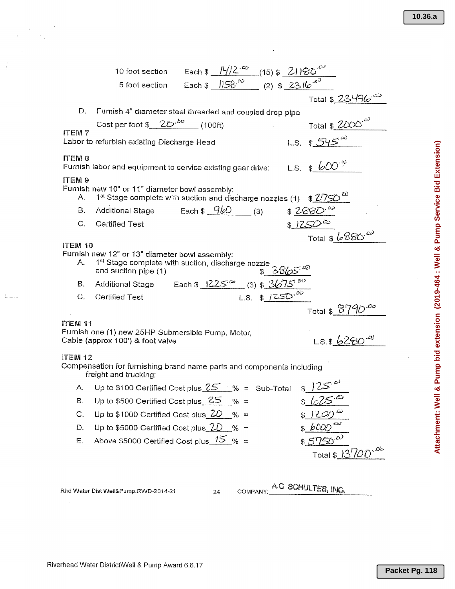|                                                                                                            | 10 foot section Each \$ $\frac{ V /2^{-\infty}}{8}$ (15) \$ $\frac{21160^{50}}{80}$<br>5 foot section Each \$ $\frac{ 158^{-80}}{80}$ (2) \$ $\frac{2316^{-80}}{80}$                                                           |                            |  |
|------------------------------------------------------------------------------------------------------------|--------------------------------------------------------------------------------------------------------------------------------------------------------------------------------------------------------------------------------|----------------------------|--|
|                                                                                                            |                                                                                                                                                                                                                                | Total \$ 23496             |  |
| D.                                                                                                         | Furnish 4" diameter steel threaded and coupled drop pipe                                                                                                                                                                       |                            |  |
|                                                                                                            | Cost per foot $\frac{2D \cdot bD}{a}$ (100ft)                                                                                                                                                                                  |                            |  |
| Total \$ $2000^{50}$<br>L.S. \$ $545^{60}$<br><b>ITEM7</b><br>Labor to refurbish existing Discharge Head   |                                                                                                                                                                                                                                |                            |  |
| <b>ITEM 8</b><br>Furnish labor and equipment to service existing gear drive: L.S. $\frac{1}{2}$ $\omega^2$ |                                                                                                                                                                                                                                |                            |  |
| <b>ITEM 9</b><br>А.                                                                                        | Furnish new 10" or 11" diameter bowl assembly:                                                                                                                                                                                 |                            |  |
| В.                                                                                                         | 1 <sup>st</sup> Stage complete with suction and discharge nozzles (1) \$ $\frac{2750^{\circ}}{200}$<br>Additional Stage Each \$ $\frac{960}{100}$ (3) \$ $\frac{2880^{00}}{200}$<br>Additional Stage Each $\frac{960}{90}$ (3) |                            |  |
| $C_{\cdot}$                                                                                                | <b>Certified Test</b>                                                                                                                                                                                                          | $\sqrt[3]{1250^{\infty}}$  |  |
|                                                                                                            |                                                                                                                                                                                                                                | Total $$6880^{\circ}$      |  |
| ITEM 10                                                                                                    | Furnish new 12" or 13" diameter bowl assembly:                                                                                                                                                                                 |                            |  |
| А.                                                                                                         | 1 <sup>st</sup> Stage complete with suction, discharge nozzle<br>Additional Stage Each \$ $1225^\omega$ (3) \$ $365^\omega$<br>Certified Test L.S. \$ $1250^\omega$                                                            |                            |  |
| В.                                                                                                         |                                                                                                                                                                                                                                |                            |  |
|                                                                                                            | C. Certified Test                                                                                                                                                                                                              |                            |  |
|                                                                                                            |                                                                                                                                                                                                                                | Total $$^{6790}_{\bullet}$ |  |
| <b>ITEM 11</b>                                                                                             | Furnish one (1) new 25HP Submersible Pump, Motor,<br>Cable (approx 100') & foot valve                                                                                                                                          | $L.S.$ \$ 6280 $^{.0\%}$   |  |
| <b>ITEM 12</b>                                                                                             | Compensation for furnishing brand name parts and components including<br>freight and trucking:                                                                                                                                 |                            |  |
| А.                                                                                                         | Up to \$100 Certified Cost plus $25 - \% =$ Sub-Total $\frac{125 - \alpha}{\alpha}$                                                                                                                                            |                            |  |
| В.                                                                                                         | Up to \$500 Certified Cost plus $25 - \% =$                                                                                                                                                                                    |                            |  |
| C.                                                                                                         | Up to \$1000 Certified Cost plus $20\%$ =                                                                                                                                                                                      |                            |  |
| D.                                                                                                         | Up to \$5000 Certified Cost plus $2D_{6}$ =                                                                                                                                                                                    | $6000^{00}$                |  |
| Е.                                                                                                         | Above \$5000 Certified Cost plus $15\%$ =                                                                                                                                                                                      | Total \$ 13700.00          |  |
|                                                                                                            |                                                                                                                                                                                                                                |                            |  |

Rhd Water Dist Well&Pump.RWD-2014-21

 $\overline{24}$ 

A.C SCHULTES, INC. COMPANY: